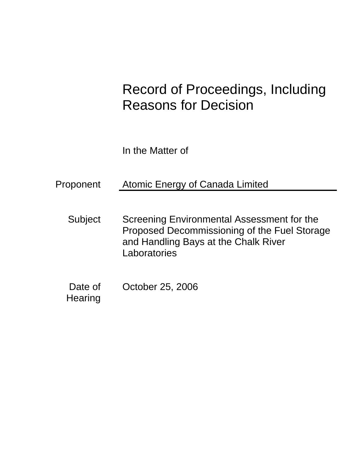# Record of Proceedings, Including Reasons for Decision

In the Matter of

Proponent Atomic Energy of Canada Limited

Subject Screening Environmental Assessment for the Proposed Decommissioning of the Fuel Storage and Handling Bays at the Chalk River **Laboratories** 

Date of October 25, 2006 **Hearing**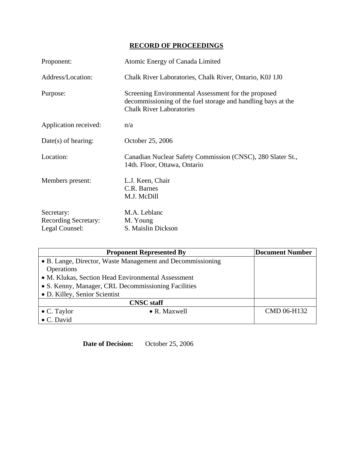# **RECORD OF PROCEEDINGS**

| Proponent:                                                  | Atomic Energy of Canada Limited                                                                                                                        |
|-------------------------------------------------------------|--------------------------------------------------------------------------------------------------------------------------------------------------------|
| Address/Location:                                           | Chalk River Laboratories, Chalk River, Ontario, K0J 1J0                                                                                                |
| Purpose:                                                    | Screening Environmental Assessment for the proposed<br>decommissioning of the fuel storage and handling bays at the<br><b>Chalk River Laboratories</b> |
| Application received:                                       | n/a                                                                                                                                                    |
| $Date(s)$ of hearing:                                       | October 25, 2006                                                                                                                                       |
| Location:                                                   | Canadian Nuclear Safety Commission (CNSC), 280 Slater St.,<br>14th. Floor, Ottawa, Ontario                                                             |
| Members present:                                            | L.J. Keen, Chair<br>C.R. Barnes<br>M.J. McDill                                                                                                         |
| Secretary:<br><b>Recording Secretary:</b><br>Legal Counsel: | M.A. Leblanc<br>M. Young<br>S. Maislin Dickson                                                                                                         |

| <b>Proponent Represented By</b>                            |                      | Document Number |
|------------------------------------------------------------|----------------------|-----------------|
| • B. Lange, Director, Waste Management and Decommissioning |                      |                 |
| <b>Operations</b>                                          |                      |                 |
| • M. Klukas, Section Head Environmental Assessment         |                      |                 |
| • S. Kenny, Manager, CRL Decommissioning Facilities        |                      |                 |
| • D. Killey, Senior Scientist                              |                      |                 |
| <b>CNSC</b> staff                                          |                      |                 |
| $\bullet$ C. Taylor                                        | $\bullet$ R. Maxwell | CMD 06-H132     |
| • C. David                                                 |                      |                 |

**Date of Decision:** October 25, 2006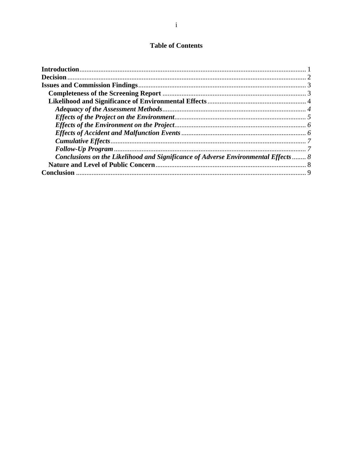# **Table of Contents**

| Conclusions on the Likelihood and Significance of Adverse Environmental Effects  8 |  |
|------------------------------------------------------------------------------------|--|
|                                                                                    |  |
|                                                                                    |  |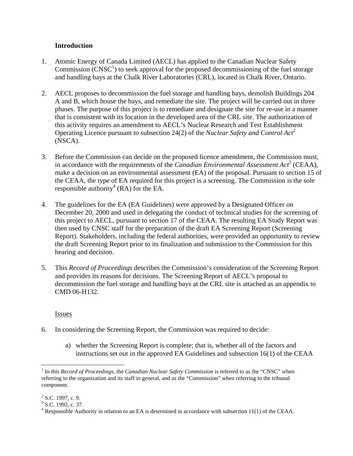# **Introduction**

- 1. Atomic Energy of Canada Limited (AECL) has applied to the Canadian Nuclear Safety Commission  $\widetilde{(CNSC^1)}$  to seek approval for the proposed decommissioning of the fuel storage and handling bays at the Chalk River Laboratories (CRL), located in Chalk River, Ontario.
- 2. AECL proposes to decommission the fuel storage and handling bays, demolish Buildings 204 A and B, which house the bays, and remediate the site. The project will be carried out in three phases. The purpose of this project is to remediate and designate the site for re-use in a manner that is consistent with its location in the developed area of the CRL site. The authorization of this activity requires an amendment to AECL's Nuclear Research and Test Establishment Operating Licence pursuant to subsection 24(2) of the *Nuclear Safety and Control Act*<sup>2</sup> (NSCA).
- 3. Before the Commission can decide on the proposed licence amendment, the Commission must, in accordance with the requirements of the *Canadian Environmental Assessment Act*<sup>3</sup> (CEAA), make a decision on an environmental assessment (EA) of the proposal. Pursuant to section 15 of the CEAA, the type of EA required for this project is a screening. The Commission is the sole responsible authority<sup>4</sup> (RA) for the EA.
- 4. The guidelines for the EA (EA Guidelines) were approved by a Designated Officer on December 20, 2000 and used in delegating the conduct of technical studies for the screening of this project to AECL, pursuant to section 17 of the CEAA. The resulting EA Study Report was then used by CNSC staff for the preparation of the draft EA Screening Report (Screening Report). Stakeholders, including the federal authorities, were provided an opportunity to review the draft Screening Report prior to its finalization and submission to the Commission for this hearing and decision.
- 5. This *Record of Proceedings* describes the Commission's consideration of the Screening Report and provides its reasons for decisions. The Screening Report of AECL's proposal to decommission the fuel storage and handling bays at the CRL site is attached as an appendix to CMD 06-H132.

Issues

- 6. In considering the Screening Report, the Commission was required to decide:
	- a) whether the Screening Report is complete; that is, whether all of the factors and instructions set out in the approved EA Guidelines and subsection 16(1) of the CEAA

<sup>&</sup>lt;u>.</u> <sup>1</sup> In this *Record of Proceedings*, the *Canadian Nuclear Safety Commission* is referred to as the "CNSC" when referring to the organization and its staff in general, and as the "Commission" when referring to the tribunal component.

 $2^2$  S.C. 1997, c. 9.

 $3$  S.C. 1992, c. 37.

 $4$  Responsible Authority in relation to an EA is determined in accordance with subsection 11(1) of the CEAA.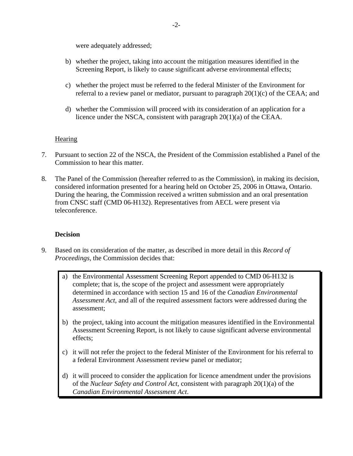were adequately addressed;

- b) whether the project, taking into account the mitigation measures identified in the Screening Report, is likely to cause significant adverse environmental effects;
- c) whether the project must be referred to the federal Minister of the Environment for referral to a review panel or mediator, pursuant to paragraph 20(1)(c) of the CEAA; and
- d) whether the Commission will proceed with its consideration of an application for a licence under the NSCA, consistent with paragraph 20(1)(a) of the CEAA.

## **Hearing**

- 7. Pursuant to section 22 of the NSCA, the President of the Commission established a Panel of the Commission to hear this matter.
- 8. The Panel of the Commission (hereafter referred to as the Commission), in making its decision, considered information presented for a hearing held on October 25, 2006 in Ottawa, Ontario. During the hearing, the Commission received a written submission and an oral presentation from CNSC staff (CMD 06-H132). Representatives from AECL were present via teleconference.

# **Decision**

- 9. Based on its consideration of the matter, as described in more detail in this *Record of Proceedings,* the Commission decides that:
	- a) the Environmental Assessment Screening Report appended to CMD 06-H132 is complete; that is, the scope of the project and assessment were appropriately determined in accordance with section 15 and 16 of the *Canadian Environmental Assessment Act*, and all of the required assessment factors were addressed during the assessment;
	- b) the project, taking into account the mitigation measures identified in the Environmental Assessment Screening Report, is not likely to cause significant adverse environmental effects;
	- c) it will not refer the project to the federal Minister of the Environment for his referral to a federal Environment Assessment review panel or mediator;
	- d) it will proceed to consider the application for licence amendment under the provisions of the *Nuclear Safety and Control Act*, consistent with paragraph 20(1)(a) of the *Canadian Environmental Assessment Act*.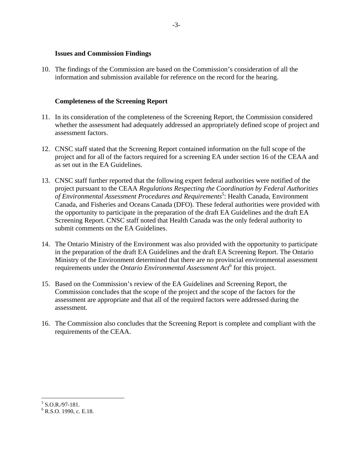#### **Issues and Commission Findings**

10. The findings of the Commission are based on the Commission's consideration of all the information and submission available for reference on the record for the hearing.

#### **Completeness of the Screening Report**

- 11. In its consideration of the completeness of the Screening Report, the Commission considered whether the assessment had adequately addressed an appropriately defined scope of project and assessment factors.
- 12. CNSC staff stated that the Screening Report contained information on the full scope of the project and for all of the factors required for a screening EA under section 16 of the CEAA and as set out in the EA Guidelines.
- 13. CNSC staff further reported that the following expert federal authorities were notified of the project pursuant to the CEAA *Regulations Respecting the Coordination by Federal Authorities*  of Environmental Assessment Procedures and Requirements<sup>5</sup>: Health Canada, Environment Canada, and Fisheries and Oceans Canada (DFO). These federal authorities were provided with the opportunity to participate in the preparation of the draft EA Guidelines and the draft EA Screening Report. CNSC staff noted that Health Canada was the only federal authority to submit comments on the EA Guidelines.
- 14. The Ontario Ministry of the Environment was also provided with the opportunity to participate in the preparation of the draft EA Guidelines and the draft EA Screening Report. The Ontario Ministry of the Environment determined that there are no provincial environmental assessment requirements under the *Ontario Environmental Assessment Act*<sup>6</sup> for this project.
- 15. Based on the Commission's review of the EA Guidelines and Screening Report, the Commission concludes that the scope of the project and the scope of the factors for the assessment are appropriate and that all of the required factors were addressed during the assessment.
- 16. The Commission also concludes that the Screening Report is complete and compliant with the requirements of the CEAA.

 5 S.O.R./97-181.

 $6$  R.S.O. 1990, c. E.18.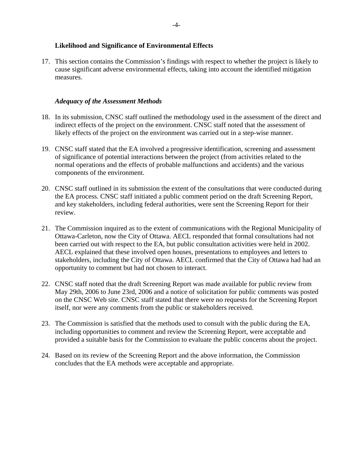## **Likelihood and Significance of Environmental Effects**

17. This section contains the Commission's findings with respect to whether the project is likely to cause significant adverse environmental effects, taking into account the identified mitigation measures.

# *Adequacy of the Assessment Methods*

- 18. In its submission, CNSC staff outlined the methodology used in the assessment of the direct and indirect effects of the project on the environment. CNSC staff noted that the assessment of likely effects of the project on the environment was carried out in a step-wise manner.
- 19. CNSC staff stated that the EA involved a progressive identification, screening and assessment of significance of potential interactions between the project (from activities related to the normal operations and the effects of probable malfunctions and accidents) and the various components of the environment.
- 20. CNSC staff outlined in its submission the extent of the consultations that were conducted during the EA process. CNSC staff initiated a public comment period on the draft Screening Report, and key stakeholders, including federal authorities, were sent the Screening Report for their review.
- 21. The Commission inquired as to the extent of communications with the Regional Municipality of Ottawa-Carleton, now the City of Ottawa. AECL responded that formal consultations had not been carried out with respect to the EA, but public consultation activities were held in 2002. AECL explained that these involved open houses, presentations to employees and letters to stakeholders, including the City of Ottawa. AECL confirmed that the City of Ottawa had had an opportunity to comment but had not chosen to interact.
- 22. CNSC staff noted that the draft Screening Report was made available for public review from May 29th, 2006 to June 23rd, 2006 and a notice of solicitation for public comments was posted on the CNSC Web site. CNSC staff stated that there were no requests for the Screening Report itself, nor were any comments from the public or stakeholders received.
- 23. The Commission is satisfied that the methods used to consult with the public during the EA, including opportunities to comment and review the Screening Report, were acceptable and provided a suitable basis for the Commission to evaluate the public concerns about the project.
- 24. Based on its review of the Screening Report and the above information, the Commission concludes that the EA methods were acceptable and appropriate.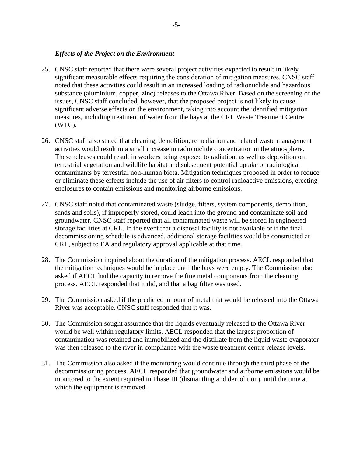#### *Effects of the Project on the Environment*

- 25. CNSC staff reported that there were several project activities expected to result in likely significant measurable effects requiring the consideration of mitigation measures. CNSC staff noted that these activities could result in an increased loading of radionuclide and hazardous substance (aluminium, copper, zinc) releases to the Ottawa River. Based on the screening of the issues, CNSC staff concluded, however, that the proposed project is not likely to cause significant adverse effects on the environment, taking into account the identified mitigation measures, including treatment of water from the bays at the CRL Waste Treatment Centre (WTC).
- 26. CNSC staff also stated that cleaning, demolition, remediation and related waste management activities would result in a small increase in radionuclide concentration in the atmosphere. These releases could result in workers being exposed to radiation, as well as deposition on terrestrial vegetation and wildlife habitat and subsequent potential uptake of radiological contaminants by terrestrial non-human biota. Mitigation techniques proposed in order to reduce or eliminate these effects include the use of air filters to control radioactive emissions, erecting enclosures to contain emissions and monitoring airborne emissions.
- 27. CNSC staff noted that contaminated waste (sludge, filters, system components, demolition, sands and soils), if improperly stored, could leach into the ground and contaminate soil and groundwater. CNSC staff reported that all contaminated waste will be stored in engineered storage facilities at CRL. In the event that a disposal facility is not available or if the final decommissioning schedule is advanced, additional storage facilities would be constructed at CRL, subject to EA and regulatory approval applicable at that time.
- 28. The Commission inquired about the duration of the mitigation process. AECL responded that the mitigation techniques would be in place until the bays were empty. The Commission also asked if AECL had the capacity to remove the fine metal components from the cleaning process. AECL responded that it did, and that a bag filter was used.
- 29. The Commission asked if the predicted amount of metal that would be released into the Ottawa River was acceptable. CNSC staff responded that it was.
- 30. The Commission sought assurance that the liquids eventually released to the Ottawa River would be well within regulatory limits. AECL responded that the largest proportion of contamination was retained and immobilized and the distillate from the liquid waste evaporator was then released to the river in compliance with the waste treatment centre release levels.
- 31. The Commission also asked if the monitoring would continue through the third phase of the decommissioning process. AECL responded that groundwater and airborne emissions would be monitored to the extent required in Phase III (dismantling and demolition), until the time at which the equipment is removed.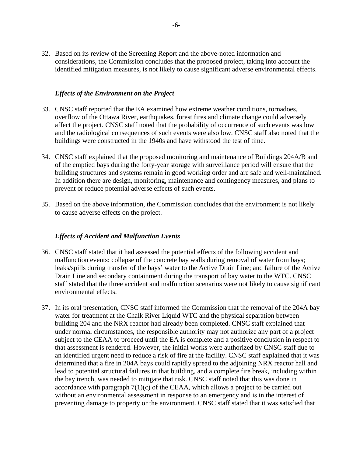32. Based on its review of the Screening Report and the above-noted information and considerations, the Commission concludes that the proposed project, taking into account the identified mitigation measures, is not likely to cause significant adverse environmental effects.

## *Effects of the Environment on the Project*

- 33. CNSC staff reported that the EA examined how extreme weather conditions, tornadoes, overflow of the Ottawa River, earthquakes, forest fires and climate change could adversely affect the project. CNSC staff noted that the probability of occurrence of such events was low and the radiological consequences of such events were also low. CNSC staff also noted that the buildings were constructed in the 1940s and have withstood the test of time.
- 34. CNSC staff explained that the proposed monitoring and maintenance of Buildings 204A/B and of the emptied bays during the forty-year storage with surveillance period will ensure that the building structures and systems remain in good working order and are safe and well-maintained. In addition there are design, monitoring, maintenance and contingency measures, and plans to prevent or reduce potential adverse effects of such events.
- 35. Based on the above information, the Commission concludes that the environment is not likely to cause adverse effects on the project.

#### *Effects of Accident and Malfunction Events*

- 36. CNSC staff stated that it had assessed the potential effects of the following accident and malfunction events: collapse of the concrete bay walls during removal of water from bays; leaks/spills during transfer of the bays' water to the Active Drain Line; and failure of the Active Drain Line and secondary containment during the transport of bay water to the WTC. CNSC staff stated that the three accident and malfunction scenarios were not likely to cause significant environmental effects.
- 37. In its oral presentation, CNSC staff informed the Commission that the removal of the 204A bay water for treatment at the Chalk River Liquid WTC and the physical separation between building 204 and the NRX reactor had already been completed. CNSC staff explained that under normal circumstances, the responsible authority may not authorize any part of a project subject to the CEAA to proceed until the EA is complete and a positive conclusion in respect to that assessment is rendered. However, the initial works were authorized by CNSC staff due to an identified urgent need to reduce a risk of fire at the facility. CNSC staff explained that it was determined that a fire in 204A bays could rapidly spread to the adjoining NRX reactor hall and lead to potential structural failures in that building, and a complete fire break, including within the bay trench, was needed to mitigate that risk. CNSC staff noted that this was done in accordance with paragraph 7(1)(c) of the CEAA, which allows a project to be carried out without an environmental assessment in response to an emergency and is in the interest of preventing damage to property or the environment. CNSC staff stated that it was satisfied that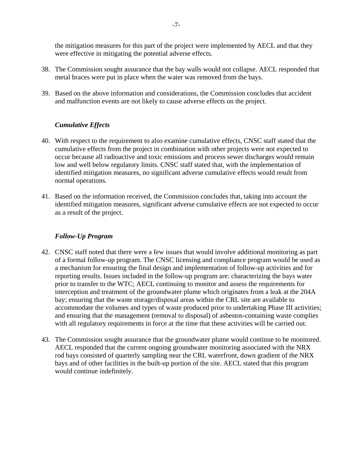the mitigation measures for this part of the project were implemented by AECL and that they were effective in mitigating the potential adverse effects.

- 38. The Commission sought assurance that the bay walls would not collapse. AECL responded that metal braces were put in place when the water was removed from the bays.
- 39. Based on the above information and considerations, the Commission concludes that accident and malfunction events are not likely to cause adverse effects on the project.

# *Cumulative Effects*

- 40. With respect to the requirement to also examine cumulative effects, CNSC staff stated that the cumulative effects from the project in combination with other projects were not expected to occur because all radioactive and toxic emissions and process sewer discharges would remain low and well below regulatory limits. CNSC staff stated that, with the implementation of identified mitigation measures, no significant adverse cumulative effects would result from normal operations.
- 41. Based on the information received, the Commission concludes that, taking into account the identified mitigation measures, significant adverse cumulative effects are not expected to occur as a result of the project.

# *Follow-Up Program*

- 42. CNSC staff noted that there were a few issues that would involve additional monitoring as part of a formal follow-up program. The CNSC licensing and compliance program would be used as a mechanism for ensuring the final design and implementation of follow-up activities and for reporting results. Issues included in the follow-up program are: characterizing the bays water prior to transfer to the WTC; AECL continuing to monitor and assess the requirements for interception and treatment of the groundwater plume which originates from a leak at the 204A bay; ensuring that the waste storage/disposal areas within the CRL site are available to accommodate the volumes and types of waste produced prior to undertaking Phase III activities; and ensuring that the management (removal to disposal) of asbestos-containing waste complies with all regulatory requirements in force at the time that these activities will be carried out.
- 43. The Commission sought assurance that the groundwater plume would continue to be monitored. AECL responded that the current ongoing groundwater monitoring associated with the NRX rod bays consisted of quarterly sampling near the CRL waterfront, down gradient of the NRX bays and of other facilities in the built-up portion of the site. AECL stated that this program would continue indefinitely.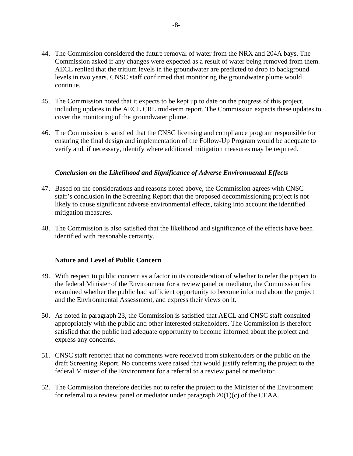- 44. The Commission considered the future removal of water from the NRX and 204A bays. The Commission asked if any changes were expected as a result of water being removed from them. AECL replied that the tritium levels in the groundwater are predicted to drop to background levels in two years. CNSC staff confirmed that monitoring the groundwater plume would continue.
- 45. The Commission noted that it expects to be kept up to date on the progress of this project, including updates in the AECL CRL mid-term report. The Commission expects these updates to cover the monitoring of the groundwater plume.
- 46. The Commission is satisfied that the CNSC licensing and compliance program responsible for ensuring the final design and implementation of the Follow-Up Program would be adequate to verify and, if necessary, identify where additional mitigation measures may be required.

#### *Conclusion on the Likelihood and Significance of Adverse Environmental Effects*

- 47. Based on the considerations and reasons noted above, the Commission agrees with CNSC staff's conclusion in the Screening Report that the proposed decommissioning project is not likely to cause significant adverse environmental effects, taking into account the identified mitigation measures.
- 48. The Commission is also satisfied that the likelihood and significance of the effects have been identified with reasonable certainty.

#### **Nature and Level of Public Concern**

- 49. With respect to public concern as a factor in its consideration of whether to refer the project to the federal Minister of the Environment for a review panel or mediator, the Commission first examined whether the public had sufficient opportunity to become informed about the project and the Environmental Assessment, and express their views on it.
- 50. As noted in paragraph 23, the Commission is satisfied that AECL and CNSC staff consulted appropriately with the public and other interested stakeholders. The Commission is therefore satisfied that the public had adequate opportunity to become informed about the project and express any concerns.
- 51. CNSC staff reported that no comments were received from stakeholders or the public on the draft Screening Report. No concerns were raised that would justify referring the project to the federal Minister of the Environment for a referral to a review panel or mediator.
- 52. The Commission therefore decides not to refer the project to the Minister of the Environment for referral to a review panel or mediator under paragraph 20(1)(c) of the CEAA.